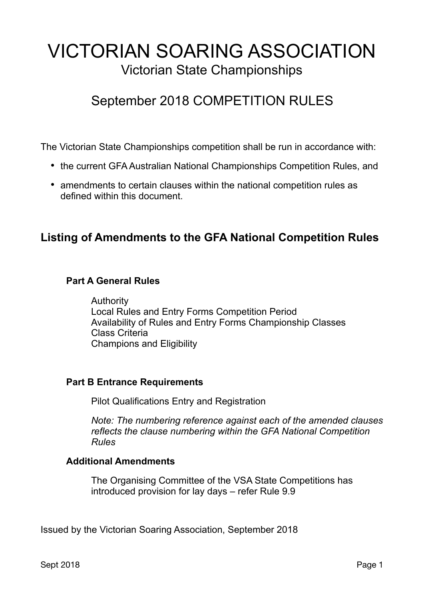# VICTORIAN SOARING ASSOCIATION Victorian State Championships

# September 2018 COMPETITION RULES

The Victorian State Championships competition shall be run in accordance with:

- the current GFA Australian National Championships Competition Rules, and
- amendments to certain clauses within the national competition rules as defined within this document.

## **Listing of Amendments to the GFA National Competition Rules**

#### **Part A General Rules**

Authority Local Rules and Entry Forms Competition Period Availability of Rules and Entry Forms Championship Classes Class Criteria Champions and Eligibility

#### **Part B Entrance Requirements**

Pilot Qualifications Entry and Registration

*Note: The numbering reference against each of the amended clauses reflects the clause numbering within the GFA National Competition Rules* 

#### **Additional Amendments**

The Organising Committee of the VSA State Competitions has introduced provision for lay days – refer Rule 9.9

Issued by the Victorian Soaring Association, September 2018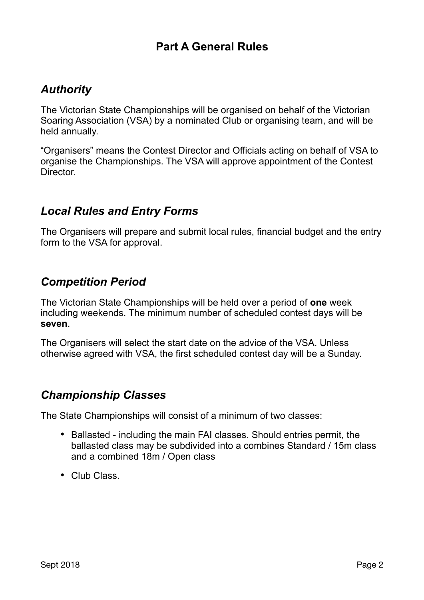# **Part A General Rules**

# *Authority*

The Victorian State Championships will be organised on behalf of the Victorian Soaring Association (VSA) by a nominated Club or organising team, and will be held annually.

"Organisers" means the Contest Director and Officials acting on behalf of VSA to organise the Championships. The VSA will approve appointment of the Contest Director.

## *Local Rules and Entry Forms*

The Organisers will prepare and submit local rules, financial budget and the entry form to the VSA for approval.

## *Competition Period*

The Victorian State Championships will be held over a period of **one** week including weekends. The minimum number of scheduled contest days will be **seven**.

The Organisers will select the start date on the advice of the VSA. Unless otherwise agreed with VSA, the first scheduled contest day will be a Sunday.

## *Championship Classes*

The State Championships will consist of a minimum of two classes:

- Ballasted including the main FAI classes. Should entries permit, the ballasted class may be subdivided into a combines Standard / 15m class and a combined 18m / Open class
- Club Class.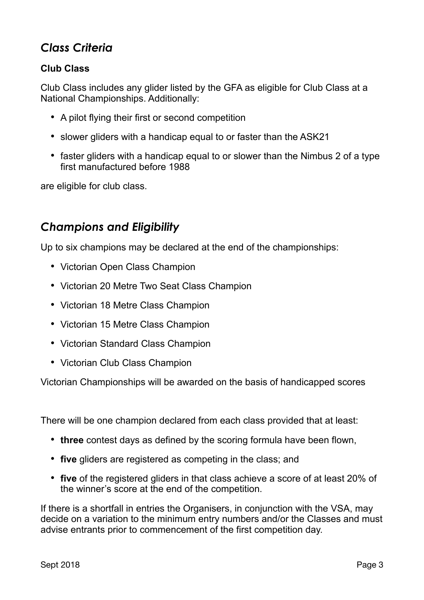# *Class Criteria*

### **Club Class**

Club Class includes any glider listed by the GFA as eligible for Club Class at a National Championships. Additionally:

- A pilot flying their first or second competition
- slower gliders with a handicap equal to or faster than the ASK21
- faster gliders with a handicap equal to or slower than the Nimbus 2 of a type first manufactured before 1988

are eligible for club class.

## *Champions and Eligibility*

Up to six champions may be declared at the end of the championships:

- Victorian Open Class Champion
- Victorian 20 Metre Two Seat Class Champion
- Victorian 18 Metre Class Champion
- Victorian 15 Metre Class Champion
- Victorian Standard Class Champion
- Victorian Club Class Champion

Victorian Championships will be awarded on the basis of handicapped scores

There will be one champion declared from each class provided that at least:

- **three** contest days as defined by the scoring formula have been flown,
- **five** gliders are registered as competing in the class; and
- **five** of the registered gliders in that class achieve a score of at least 20% of the winner's score at the end of the competition.

If there is a shortfall in entries the Organisers, in conjunction with the VSA, may decide on a variation to the minimum entry numbers and/or the Classes and must advise entrants prior to commencement of the first competition day.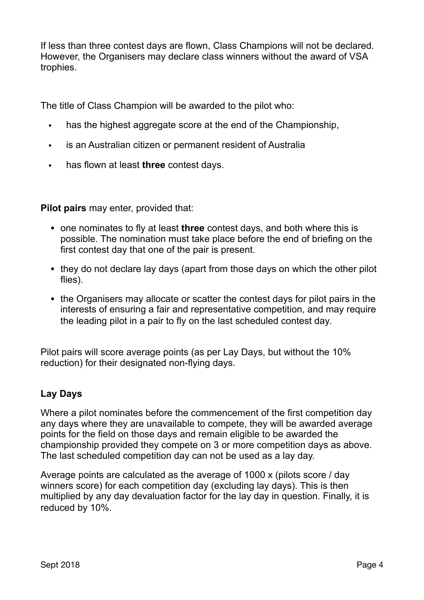If less than three contest days are flown, Class Champions will not be declared. However, the Organisers may declare class winners without the award of VSA trophies.

The title of Class Champion will be awarded to the pilot who:

- has the highest aggregate score at the end of the Championship,
- is an Australian citizen or permanent resident of Australia
- has flown at least **three** contest days.

**Pilot pairs** may enter, provided that:

- one nominates to fly at least **three** contest days, and both where this is possible. The nomination must take place before the end of briefing on the first contest day that one of the pair is present.
- they do not declare lay days (apart from those days on which the other pilot flies).
- the Organisers may allocate or scatter the contest days for pilot pairs in the interests of ensuring a fair and representative competition, and may require the leading pilot in a pair to fly on the last scheduled contest day.

Pilot pairs will score average points (as per Lay Days, but without the 10% reduction) for their designated non-flying days.

#### **Lay Days**

Where a pilot nominates before the commencement of the first competition day any days where they are unavailable to compete, they will be awarded average points for the field on those days and remain eligible to be awarded the championship provided they compete on 3 or more competition days as above. The last scheduled competition day can not be used as a lay day.

Average points are calculated as the average of 1000 x (pilots score / day winners score) for each competition day (excluding lay days). This is then multiplied by any day devaluation factor for the lay day in question. Finally, it is reduced by 10%.